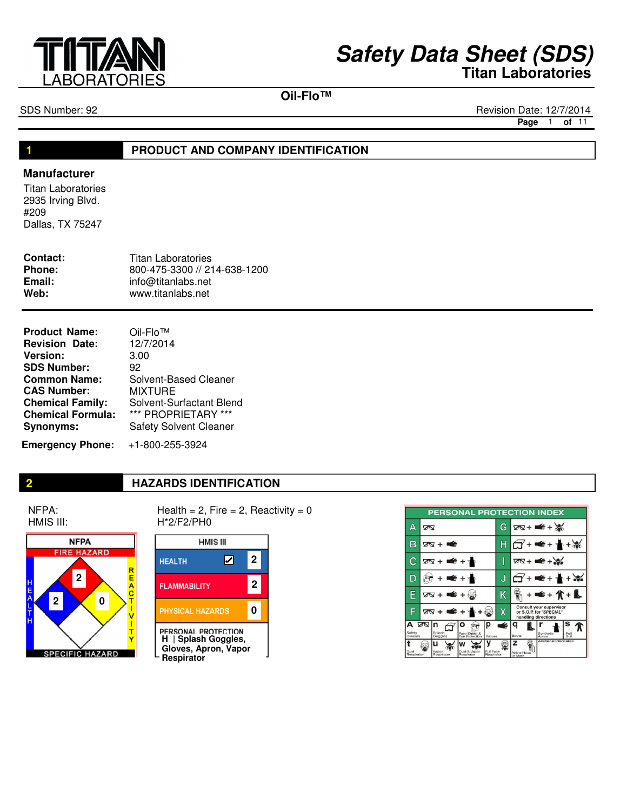

**Oil-Flo™**

SDS Number: 92 Revision Date: 12/7/2014

**Page** 1 **of** 11

#### **1**

#### **PRODUCT AND COMPANY IDENTIFICATION**

#### **Manufacturer**

Titan Laboratories 2935 Irving Blvd. #209 Dallas, TX 75247

| Contact:      | <b>Titan Laboratories</b>    |
|---------------|------------------------------|
| <b>Phone:</b> | 800-475-3300 // 214-638-1200 |
| Email:        | info@titanlabs.net           |
| Web:          | www.titanlabs.net            |

| <b>Product Name:</b>     | Oil-Flo <sup>™</sup>          |
|--------------------------|-------------------------------|
| <b>Revision Date:</b>    | 12/7/2014                     |
| <b>Version:</b>          | 3.00                          |
| <b>SDS Number:</b>       | 92                            |
| <b>Common Name:</b>      | Solvent-Based Cleaner         |
| <b>CAS Number:</b>       | <b>MIXTURE</b>                |
| <b>Chemical Family:</b>  | Solvent-Surfactant Blend      |
| <b>Chemical Formula:</b> | *** PROPRIETARY ***           |
| <b>Synonyms:</b>         | <b>Safety Solvent Cleaner</b> |
|                          |                               |

**Emergency Phone:** +1-800-255-3924

#### **2 HAZARDS IDENTIFICATION**

NFPA: HMIS III:



Health =  $2$ , Fire =  $2$ , Reactivity =  $0$ H\*2/F2/PH0



|                        |                        |                     | <b>PERSONAL PROTECTION INDEX</b> |                         |   |                                                                           |                                   |                        |              |  |
|------------------------|------------------------|---------------------|----------------------------------|-------------------------|---|---------------------------------------------------------------------------|-----------------------------------|------------------------|--------------|--|
| д                      | ∞                      |                     |                                  |                         | G | $28 + 4 + 36$                                                             |                                   |                        |              |  |
| в                      | ळ + ≢                  |                     |                                  |                         |   | $+ 4 + 1 + 1$                                                             |                                   |                        |              |  |
| С                      |                        | ळप + ■€ + यो        |                                  |                         |   |                                                                           | $\overline{2N}$ + $\leq$ + $\geq$ |                        |              |  |
| D                      | + € + ∱                |                     |                                  | J                       |   | + <del>≤</del> + <del>≬</del> + ₩                                         |                                   |                        |              |  |
| Е                      | ⊠ + ■ + ⊗              |                     |                                  | Κ                       |   | + <del>≤</del> + ∕k + <b>L</b>                                            |                                   |                        |              |  |
| F                      | ष्ठ + <del>=</del> + ≁ |                     |                                  | Χ                       |   | Consult your supervisor<br>or S.O.P. for "SPECIAL"<br>handling directions |                                   |                        |              |  |
| А<br>Safety<br>Glasses | ∞                      | Splash<br>Goggles   | Face Shield &                    | Gloves                  | É | q<br><b>Boots</b>                                                         | Synthetic <sup>1</sup>            |                        | Full<br>Suit |  |
| Dust<br>Respirator     |                        | Vapor<br>Respirator | Dust & Vapor<br>Reapirator       | Full Face<br>Respirator |   | z<br>Airline Hood<br>or Mask                                              |                                   | Additional Information |              |  |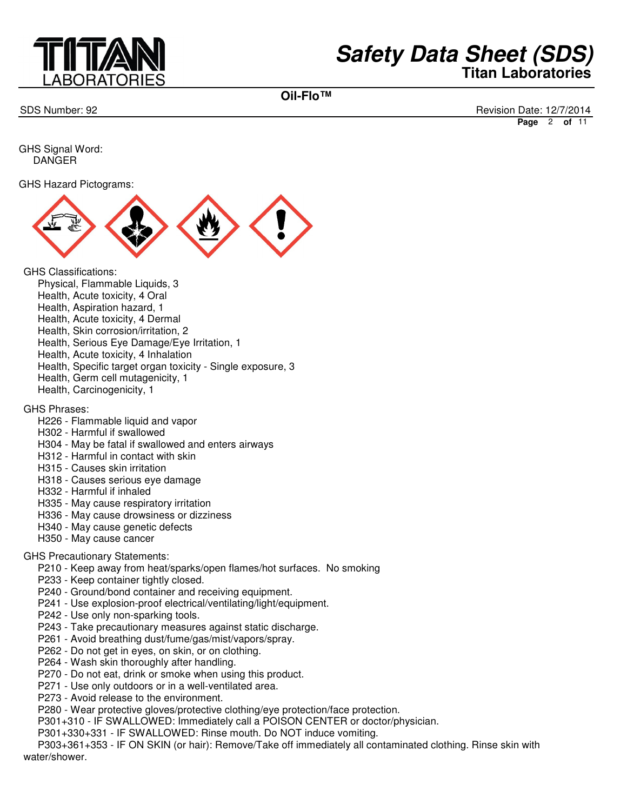

**Oil-Flo™**

SDS Number: 92 Revision Date: 12/7/2014 **Page** 2 **of** 11

GHS Signal Word: DANGER

GHS Hazard Pictograms:



GHS Classifications:

- Physical, Flammable Liquids, 3
- Health, Acute toxicity, 4 Oral
- Health, Aspiration hazard, 1
- Health, Acute toxicity, 4 Dermal
- Health, Skin corrosion/irritation, 2
- Health, Serious Eye Damage/Eye Irritation, 1
- Health, Acute toxicity, 4 Inhalation
- Health, Specific target organ toxicity Single exposure, 3
- Health, Germ cell mutagenicity, 1
- Health, Carcinogenicity, 1

#### GHS Phrases:

- H226 Flammable liquid and vapor
- H302 Harmful if swallowed
- H304 May be fatal if swallowed and enters airways
- H312 Harmful in contact with skin
- H315 Causes skin irritation
- H318 Causes serious eye damage
- H332 Harmful if inhaled
- H335 May cause respiratory irritation
- H336 May cause drowsiness or dizziness
- H340 May cause genetic defects
- H350 May cause cancer

#### GHS Precautionary Statements:

- P210 Keep away from heat/sparks/open flames/hot surfaces. No smoking
- P233 Keep container tightly closed.
- P240 Ground/bond container and receiving equipment.
- P241 Use explosion-proof electrical/ventilating/light/equipment.
- P242 Use only non-sparking tools.
- P243 Take precautionary measures against static discharge.
- P261 Avoid breathing dust/fume/gas/mist/vapors/spray.
- P262 Do not get in eyes, on skin, or on clothing.
- P264 Wash skin thoroughly after handling.
- P270 Do not eat, drink or smoke when using this product.
- P271 Use only outdoors or in a well-ventilated area.
- P273 Avoid release to the environment.
- P280 Wear protective gloves/protective clothing/eye protection/face protection.
- P301+310 IF SWALLOWED: Immediately call a POISON CENTER or doctor/physician.
- P301+330+331 IF SWALLOWED: Rinse mouth. Do NOT induce vomiting.

 P303+361+353 - IF ON SKIN (or hair): Remove/Take off immediately all contaminated clothing. Rinse skin with water/shower.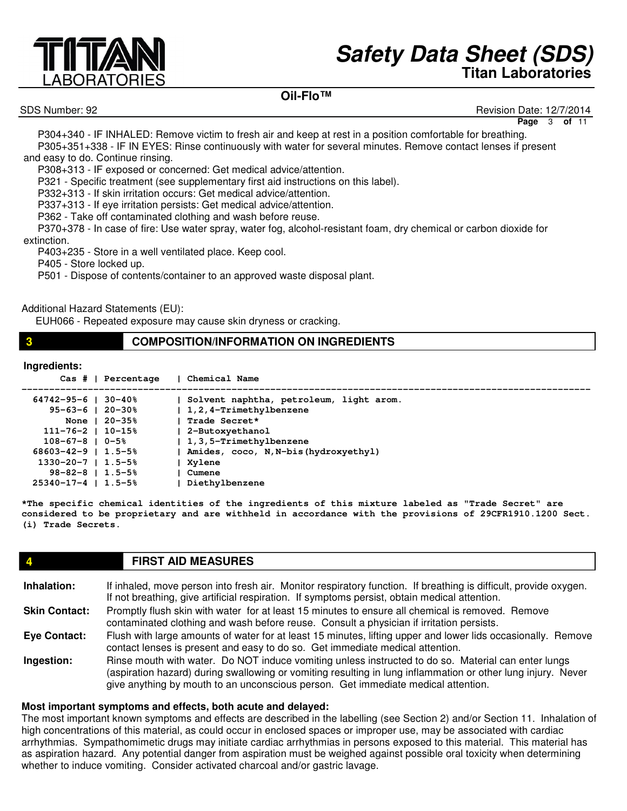# ABORATORIES

# **Safety Data Sheet (SDS) Titan Laboratories**

## **Oil-Flo™**

SDS Number: 92 Revision Date: 12/7/2014

**Page** 3 **of** 11

 P304+340 - IF INHALED: Remove victim to fresh air and keep at rest in a position comfortable for breathing. P305+351+338 - IF IN EYES: Rinse continuously with water for several minutes. Remove contact lenses if present and easy to do. Continue rinsing.

P308+313 - IF exposed or concerned: Get medical advice/attention.

P321 - Specific treatment (see supplementary first aid instructions on this label).

P332+313 - If skin irritation occurs: Get medical advice/attention.

P337+313 - If eye irritation persists: Get medical advice/attention.

P362 - Take off contaminated clothing and wash before reuse.

 P370+378 - In case of fire: Use water spray, water fog, alcohol-resistant foam, dry chemical or carbon dioxide for extinction.

P403+235 - Store in a well ventilated place. Keep cool.

P405 - Store locked up.

P501 - Dispose of contents/container to an approved waste disposal plant.

Additional Hazard Statements (EU):

EUH066 - Repeated exposure may cause skin dryness or cracking.

#### **3 COMPOSITION/INFORMATION ON INGREDIENTS**

#### **Ingredients:**

|                           | $\text{Cas }# \text{ } \text{ }$ Percentage | Chemical Name                           |
|---------------------------|---------------------------------------------|-----------------------------------------|
| $64742 - 95 - 6$          | 30-40%                                      | Solvent naphtha, petroleum, light arom. |
| $95 - 63 - 6$   20-30%    |                                             | 1,2,4-Trimethylbenzene                  |
|                           | None $120-35%$                              | Trade Secret*                           |
| $111 - 76 - 2$   10-15%   |                                             | 2-Butoxyethanol                         |
| $108 - 67 - 8$   0-5%     |                                             | 1,3,5-Trimethylbenzene                  |
| $68603 - 42 - 9$   1.5-5% |                                             | Amides, coco, N, N-bis (hydroxyethyl)   |
| $1330 - 20 - 7$   1.5-5%  |                                             | Xvlene                                  |
| $98 - 82 - 8$   1.5-5%    |                                             | Cumene                                  |
| $25340 - 17 - 4$   1.5-5% |                                             | Diethylbenzene                          |
|                           |                                             |                                         |

**\*The specific chemical identities of the ingredients of this mixture labeled as "Trade Secret" are considered to be proprietary and are withheld in accordance with the provisions of 29CFR1910.1200 Sect. (i) Trade Secrets.**

#### **4 FIRST AID MEASURES**

**Inhalation: Skin Contact: Eye Contact: Ingestion:** If inhaled, move person into fresh air. Monitor respiratory function. If breathing is difficult, provide oxygen. If not breathing, give artificial respiration. If symptoms persist, obtain medical attention. Promptly flush skin with water for at least 15 minutes to ensure all chemical is removed. Remove contaminated clothing and wash before reuse. Consult a physician if irritation persists. Flush with large amounts of water for at least 15 minutes, lifting upper and lower lids occasionally. Remove contact lenses is present and easy to do so. Get immediate medical attention. Rinse mouth with water. Do NOT induce vomiting unless instructed to do so. Material can enter lungs (aspiration hazard) during swallowing or vomiting resulting in lung inflammation or other lung injury. Never

give anything by mouth to an unconscious person. Get immediate medical attention.

# **Most important symptoms and effects, both acute and delayed:**

The most important known symptoms and effects are described in the labelling (see Section 2) and/or Section 11. Inhalation of high concentrations of this material, as could occur in enclosed spaces or improper use, may be associated with cardiac arrhythmias. Sympathomimetic drugs may initiate cardiac arrhythmias in persons exposed to this material. This material has as aspiration hazard. Any potential danger from aspiration must be weighed against possible oral toxicity when determining whether to induce vomiting. Consider activated charcoal and/or gastric lavage.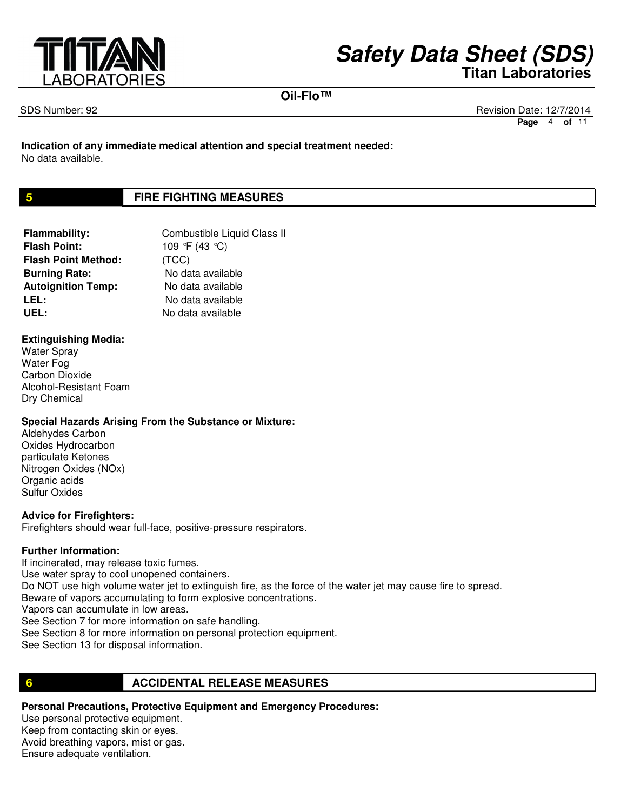

**Oil-Flo™**

SDS Number: 92 Revision Date: 12/7/2014 **Page** 4 **of** 11

**Indication of any immediate medical attention and special treatment needed:** No data available.

## **5 FIRE FIGHTING MEASURES**

**Flammability:** Combustible Liquid Class II **Flash Point:** 109 °F (43 °C) **Flash Point Method:** (TCC) **Burning Rate:** No data available **Autoignition Temp:** No data available LEL: No data available UEL: No data available

#### **Extinguishing Media:**

Water Spray Water Fog Carbon Dioxide Alcohol-Resistant Foam Dry Chemical

#### **Special Hazards Arising From the Substance or Mixture:**

Aldehydes Carbon Oxides Hydrocarbon particulate Ketones Nitrogen Oxides (NOx) Organic acids Sulfur Oxides

#### **Advice for Firefighters:**

Firefighters should wear full-face, positive-pressure respirators.

#### **Further Information:**

If incinerated, may release toxic fumes. Use water spray to cool unopened containers. Do NOT use high volume water jet to extinguish fire, as the force of the water jet may cause fire to spread. Beware of vapors accumulating to form explosive concentrations. Vapors can accumulate in low areas. See Section 7 for more information on safe handling. See Section 8 for more information on personal protection equipment. See Section 13 for disposal information.

#### **6 <b>ACCIDENTAL RELEASE MEASURES**

**Personal Precautions, Protective Equipment and Emergency Procedures:** Use personal protective equipment. Keep from contacting skin or eyes. Avoid breathing vapors, mist or gas. Ensure adequate ventilation.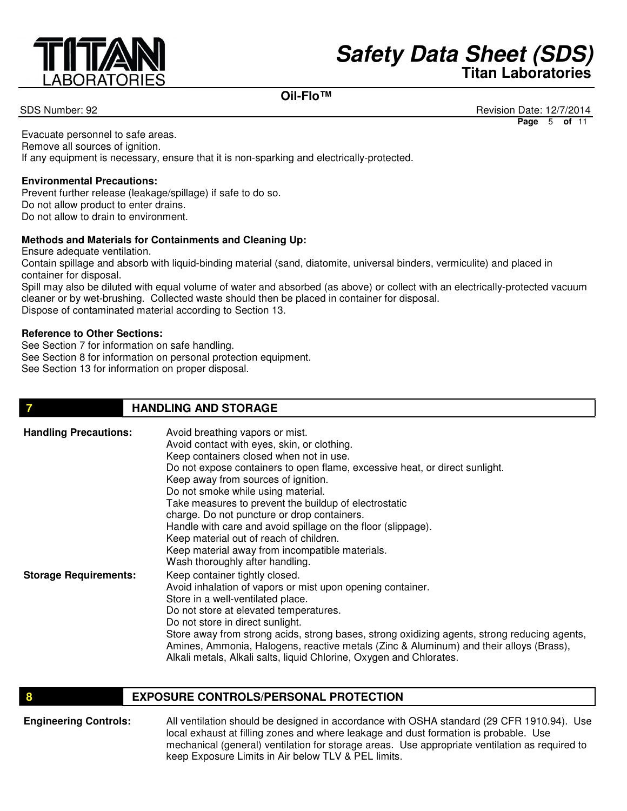

## **Oil-Flo™**

SDS Number: 92 Revision Date: 12/7/2014 **Page** 5 **of** 11

Evacuate personnel to safe areas. Remove all sources of ignition. If any equipment is necessary, ensure that it is non-sparking and electrically-protected.

#### **Environmental Precautions:**

Prevent further release (leakage/spillage) if safe to do so. Do not allow product to enter drains. Do not allow to drain to environment.

#### **Methods and Materials for Containments and Cleaning Up:**

Ensure adequate ventilation.

Contain spillage and absorb with liquid-binding material (sand, diatomite, universal binders, vermiculite) and placed in container for disposal.

Spill may also be diluted with equal volume of water and absorbed (as above) or collect with an electrically-protected vacuum cleaner or by wet-brushing. Collected waste should then be placed in container for disposal. Dispose of contaminated material according to Section 13.

#### **Reference to Other Sections:**

See Section 7 for information on safe handling. See Section 8 for information on personal protection equipment. See Section 13 for information on proper disposal.

#### **7 HANDLING AND STORAGE**

| <b>Handling Precautions:</b> | Avoid breathing vapors or mist.<br>Avoid contact with eyes, skin, or clothing.<br>Keep containers closed when not in use.<br>Do not expose containers to open flame, excessive heat, or direct sunlight.<br>Keep away from sources of ignition.<br>Do not smoke while using material.<br>Take measures to prevent the buildup of electrostatic<br>charge. Do not puncture or drop containers.<br>Handle with care and avoid spillage on the floor (slippage).<br>Keep material out of reach of children.<br>Keep material away from incompatible materials. |
|------------------------------|-------------------------------------------------------------------------------------------------------------------------------------------------------------------------------------------------------------------------------------------------------------------------------------------------------------------------------------------------------------------------------------------------------------------------------------------------------------------------------------------------------------------------------------------------------------|
| <b>Storage Requirements:</b> | Wash thoroughly after handling.<br>Keep container tightly closed.<br>Avoid inhalation of vapors or mist upon opening container.<br>Store in a well-ventilated place.<br>Do not store at elevated temperatures.<br>Do not store in direct sunlight.<br>Store away from strong acids, strong bases, strong oxidizing agents, strong reducing agents,<br>Amines, Ammonia, Halogens, reactive metals (Zinc & Aluminum) and their alloys (Brass),<br>Alkali metals, Alkali salts, liquid Chlorine, Oxygen and Chlorates.                                         |

#### **EXPOSURE CONTROLS/PERSONAL PROTECTION**

**Engineering Controls:** All ventilation should be designed in accordance with OSHA standard (29 CFR 1910.94). Use local exhaust at filling zones and where leakage and dust formation is probable. Use mechanical (general) ventilation for storage areas. Use appropriate ventilation as required to keep Exposure Limits in Air below TLV & PEL limits.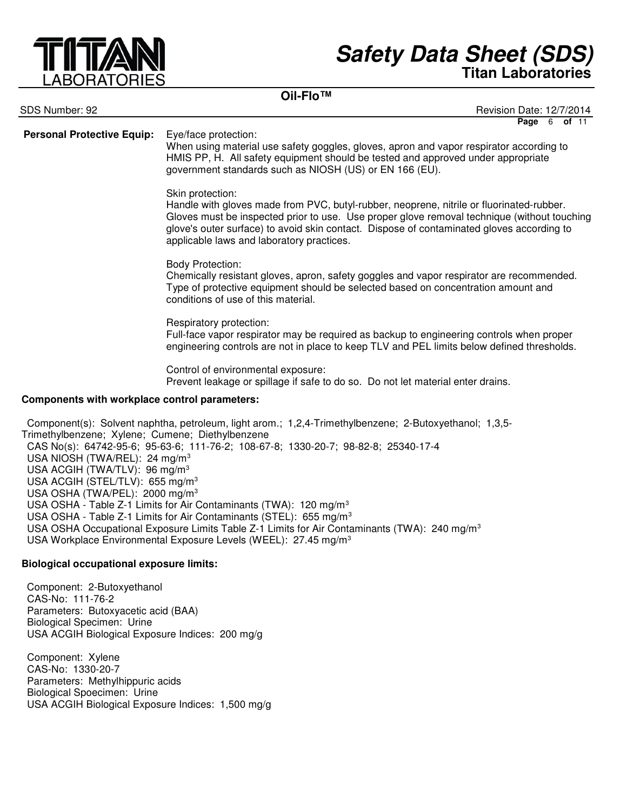

## **Oil-Flo™**

| SDS Number: 92                                                                                                                                                                                                                          | Revision Date: 12/7/2014                                                                                                                                                                                                                                                                                                                                                                                                                                                                                                                                   |
|-----------------------------------------------------------------------------------------------------------------------------------------------------------------------------------------------------------------------------------------|------------------------------------------------------------------------------------------------------------------------------------------------------------------------------------------------------------------------------------------------------------------------------------------------------------------------------------------------------------------------------------------------------------------------------------------------------------------------------------------------------------------------------------------------------------|
| <b>Personal Protective Equip:</b>                                                                                                                                                                                                       | Page 6 of 11<br>Eye/face protection:<br>When using material use safety goggles, gloves, apron and vapor respirator according to<br>HMIS PP, H. All safety equipment should be tested and approved under appropriate<br>government standards such as NIOSH (US) or EN 166 (EU).                                                                                                                                                                                                                                                                             |
|                                                                                                                                                                                                                                         | Skin protection:<br>Handle with gloves made from PVC, butyl-rubber, neoprene, nitrile or fluorinated-rubber.<br>Gloves must be inspected prior to use. Use proper glove removal technique (without touching<br>glove's outer surface) to avoid skin contact. Dispose of contaminated gloves according to<br>applicable laws and laboratory practices.                                                                                                                                                                                                      |
|                                                                                                                                                                                                                                         | <b>Body Protection:</b><br>Chemically resistant gloves, apron, safety goggles and vapor respirator are recommended.<br>Type of protective equipment should be selected based on concentration amount and<br>conditions of use of this material.                                                                                                                                                                                                                                                                                                            |
|                                                                                                                                                                                                                                         | Respiratory protection:<br>Full-face vapor respirator may be required as backup to engineering controls when proper<br>engineering controls are not in place to keep TLV and PEL limits below defined thresholds.                                                                                                                                                                                                                                                                                                                                          |
|                                                                                                                                                                                                                                         | Control of environmental exposure:<br>Prevent leakage or spillage if safe to do so. Do not let material enter drains.                                                                                                                                                                                                                                                                                                                                                                                                                                      |
| Components with workplace control parameters:                                                                                                                                                                                           |                                                                                                                                                                                                                                                                                                                                                                                                                                                                                                                                                            |
| Trimethylbenzene; Xylene; Cumene; Diethylbenzene<br>USA NIOSH (TWA/REL): 24 mg/m <sup>3</sup><br>USA ACGIH (TWA/TLV): 96 mg/m <sup>3</sup><br>USA ACGIH (STEL/TLV): 655 mg/m <sup>3</sup><br>USA OSHA (TWA/PEL): 2000 mg/m <sup>3</sup> | Component(s): Solvent naphtha, petroleum, light arom.; 1,2,4-Trimethylbenzene; 2-Butoxyethanol; 1,3,5-<br>CAS No(s): 64742-95-6; 95-63-6; 111-76-2; 108-67-8; 1330-20-7; 98-82-8; 25340-17-4<br>USA OSHA - Table Z-1 Limits for Air Contaminants (TWA): 120 mg/m <sup>3</sup><br>USA OSHA - Table Z-1 Limits for Air Contaminants (STEL): 655 mg/m <sup>3</sup><br>USA OSHA Occupational Exposure Limits Table Z-1 Limits for Air Contaminants (TWA): 240 mg/m <sup>3</sup><br>USA Workplace Environmental Exposure Levels (WEEL): 27.45 mg/m <sup>3</sup> |

## **Biological occupational exposure limits:**

Component: 2-Butoxyethanol CAS-No: 111-76-2 Parameters: Butoxyacetic acid (BAA) Biological Specimen: Urine USA ACGIH Biological Exposure Indices: 200 mg/g

Component: Xylene CAS-No: 1330-20-7 Parameters: Methylhippuric acids Biological Spoecimen: Urine USA ACGIH Biological Exposure Indices: 1,500 mg/g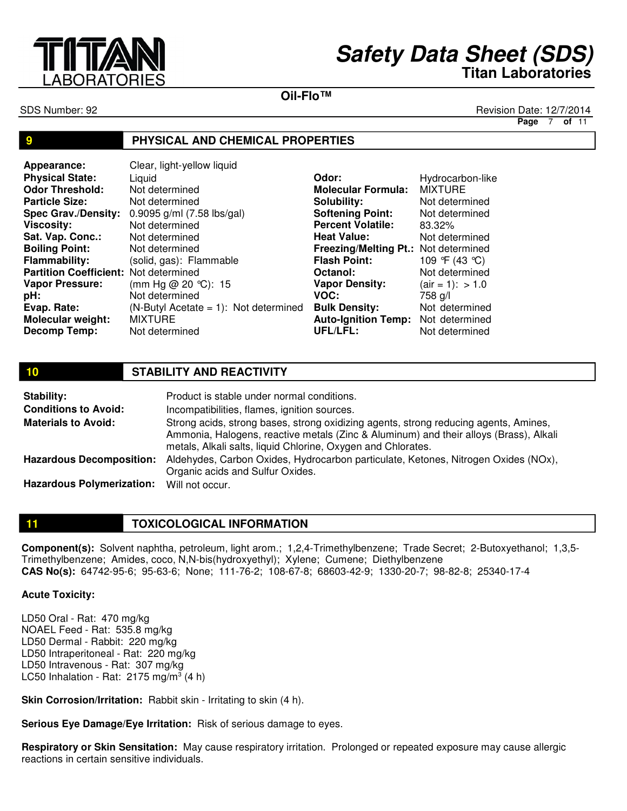

**Oil-Flo™**

SDS Number: 92 Revision Date: 12/7/2014

**Page** 7 **of** 11

#### **9 PHYSICAL AND CHEMICAL PROPERTIES**

| Appearance:                           | Clear, light-yellow liquid               |                                      |                   |
|---------------------------------------|------------------------------------------|--------------------------------------|-------------------|
| <b>Physical State:</b>                | Liquid                                   | Odor:                                | Hydrocarbon-like  |
| <b>Odor Threshold:</b>                | Not determined                           | <b>Molecular Formula:</b>            | <b>MIXTURE</b>    |
| <b>Particle Size:</b>                 | Not determined                           | Solubility:                          | Not determined    |
| <b>Spec Grav./Density:</b>            | 0.9095 g/ml (7.58 lbs/gal)               | <b>Softening Point:</b>              | Not determined    |
| <b>Viscosity:</b>                     | Not determined                           | <b>Percent Volatile:</b>             | 83.32%            |
| Sat. Vap. Conc.:                      | Not determined                           | <b>Heat Value:</b>                   | Not determined    |
| <b>Boiling Point:</b>                 | Not determined                           | Freezing/Melting Pt.: Not determined |                   |
| <b>Flammability:</b>                  | (solid, gas): Flammable                  | <b>Flash Point:</b>                  | 109 °F (43 °C)    |
| Partition Coefficient: Not determined |                                          | Octanol:                             | Not determined    |
| <b>Vapor Pressure:</b>                | (mm Hg @ 20 °C): 15                      | <b>Vapor Density:</b>                | $air = 1$ : > 1.0 |
| pH:                                   | Not determined                           | VOC:                                 | 758 g/l           |
| Evap. Rate:                           | $(N-ButyI Acciate = 1)$ : Not determined | <b>Bulk Density:</b>                 | Not determined    |
| Molecular weight:                     | <b>MIXTURE</b>                           | <b>Auto-Ignition Temp:</b>           | Not determined    |
| Decomp Temp:                          | Not determined                           | UFL/LFL:                             | Not determined    |

#### **10 STABILITY AND REACTIVITY**

| Stability:                                | Product is stable under normal conditions.                                                                                                                                                                                                    |
|-------------------------------------------|-----------------------------------------------------------------------------------------------------------------------------------------------------------------------------------------------------------------------------------------------|
| <b>Conditions to Avoid:</b>               | Incompatibilities, flames, ignition sources.                                                                                                                                                                                                  |
| <b>Materials to Avoid:</b>                | Strong acids, strong bases, strong oxidizing agents, strong reducing agents, Amines,<br>Ammonia, Halogens, reactive metals (Zinc & Aluminum) and their alloys (Brass), Alkali<br>metals, Alkali salts, liquid Chlorine, Oxygen and Chlorates. |
| <b>Hazardous Decomposition:</b>           | Aldehydes, Carbon Oxides, Hydrocarbon particulate, Ketones, Nitrogen Oxides (NOx),<br>Organic acids and Sulfur Oxides.                                                                                                                        |
| Hazardous Polymerization: Will not occur. |                                                                                                                                                                                                                                               |

## **11 TOXICOLOGICAL INFORMATION**

**Component(s):** Solvent naphtha, petroleum, light arom.; 1,2,4-Trimethylbenzene; Trade Secret; 2-Butoxyethanol; 1,3,5- Trimethylbenzene; Amides, coco, N,N-bis(hydroxyethyl); Xylene; Cumene; Diethylbenzene **CAS No(s):** 64742-95-6; 95-63-6; None; 111-76-2; 108-67-8; 68603-42-9; 1330-20-7; 98-82-8; 25340-17-4

#### **Acute Toxicity:**

LD50 Oral - Rat: 470 mg/kg NOAEL Feed - Rat: 535.8 mg/kg LD50 Dermal - Rabbit: 220 mg/kg LD50 Intraperitoneal - Rat: 220 mg/kg LD50 Intravenous - Rat: 307 mg/kg LC50 Inhalation - Rat:  $2175$  mg/m<sup>3</sup> (4 h)

**Skin Corrosion/Irritation:** Rabbit skin - Irritating to skin (4 h).

**Serious Eye Damage/Eye Irritation:** Risk of serious damage to eyes.

**Respiratory or Skin Sensitation:** May cause respiratory irritation. Prolonged or repeated exposure may cause allergic reactions in certain sensitive individuals.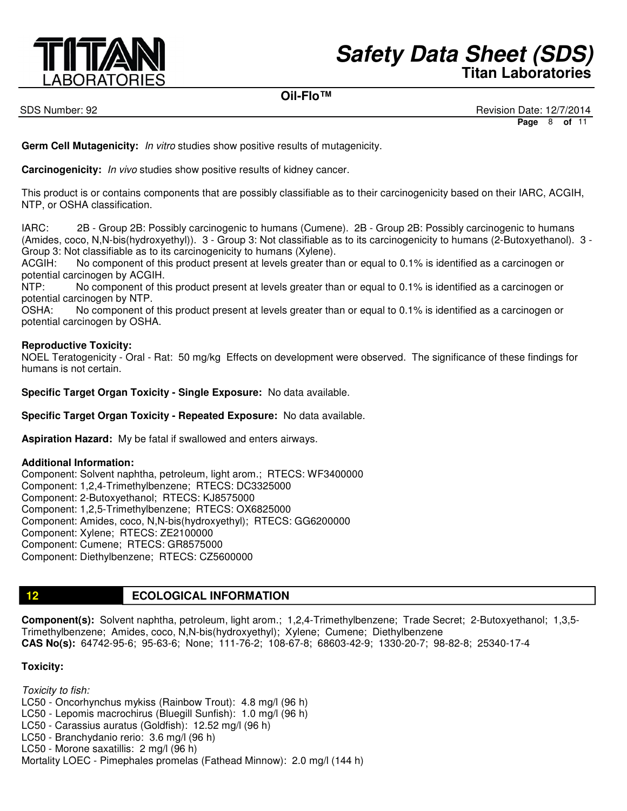

#### **Oil-Flo™**

SDS Number: 92 Revision Date: 12/7/2014 **Page** 8 **of** 11

**Germ Cell Mutagenicity:** In vitro studies show positive results of mutagenicity.

**Carcinogenicity:** In vivo studies show positive results of kidney cancer.

This product is or contains components that are possibly classifiable as to their carcinogenicity based on their IARC, ACGIH, NTP, or OSHA classification.

IARC: 2B - Group 2B: Possibly carcinogenic to humans (Cumene). 2B - Group 2B: Possibly carcinogenic to humans (Amides, coco, N,N-bis(hydroxyethyl)). 3 - Group 3: Not classifiable as to its carcinogenicity to humans (2-Butoxyethanol). 3 - Group 3: Not classifiable as to its carcinogenicity to humans (Xylene).

ACGIH: No component of this product present at levels greater than or equal to 0.1% is identified as a carcinogen or potential carcinogen by ACGIH.

NTP: No component of this product present at levels greater than or equal to 0.1% is identified as a carcinogen or potential carcinogen by NTP.

OSHA: No component of this product present at levels greater than or equal to 0.1% is identified as a carcinogen or potential carcinogen by OSHA.

#### **Reproductive Toxicity:**

NOEL Teratogenicity - Oral - Rat: 50 mg/kg Effects on development were observed. The significance of these findings for humans is not certain.

**Specific Target Organ Toxicity - Single Exposure:** No data available.

**Specific Target Organ Toxicity - Repeated Exposure:** No data available.

**Aspiration Hazard:** My be fatal if swallowed and enters airways.

#### **Additional Information:**

Component: Solvent naphtha, petroleum, light arom.; RTECS: WF3400000 Component: 1,2,4-Trimethylbenzene; RTECS: DC3325000 Component: 2-Butoxyethanol; RTECS: KJ8575000 Component: 1,2,5-Trimethylbenzene; RTECS: OX6825000 Component: Amides, coco, N,N-bis(hydroxyethyl); RTECS: GG6200000 Component: Xylene; RTECS: ZE2100000 Component: Cumene; RTECS: GR8575000 Component: Diethylbenzene; RTECS: CZ5600000

## **12 ECOLOGICAL INFORMATION**

**Component(s):** Solvent naphtha, petroleum, light arom.; 1,2,4-Trimethylbenzene; Trade Secret; 2-Butoxyethanol; 1,3,5- Trimethylbenzene; Amides, coco, N,N-bis(hydroxyethyl); Xylene; Cumene; Diethylbenzene **CAS No(s):** 64742-95-6; 95-63-6; None; 111-76-2; 108-67-8; 68603-42-9; 1330-20-7; 98-82-8; 25340-17-4

#### **Toxicity:**

Toxicity to fish: LC50 - Oncorhynchus mykiss (Rainbow Trout): 4.8 mg/l (96 h) LC50 - Lepomis macrochirus (Bluegill Sunfish): 1.0 mg/l (96 h) LC50 - Carassius auratus (Goldfish): 12.52 mg/l (96 h) LC50 - Branchydanio rerio: 3.6 mg/l (96 h) LC50 - Morone saxatillis: 2 mg/l (96 h) Mortality LOEC - Pimephales promelas (Fathead Minnow): 2.0 mg/l (144 h)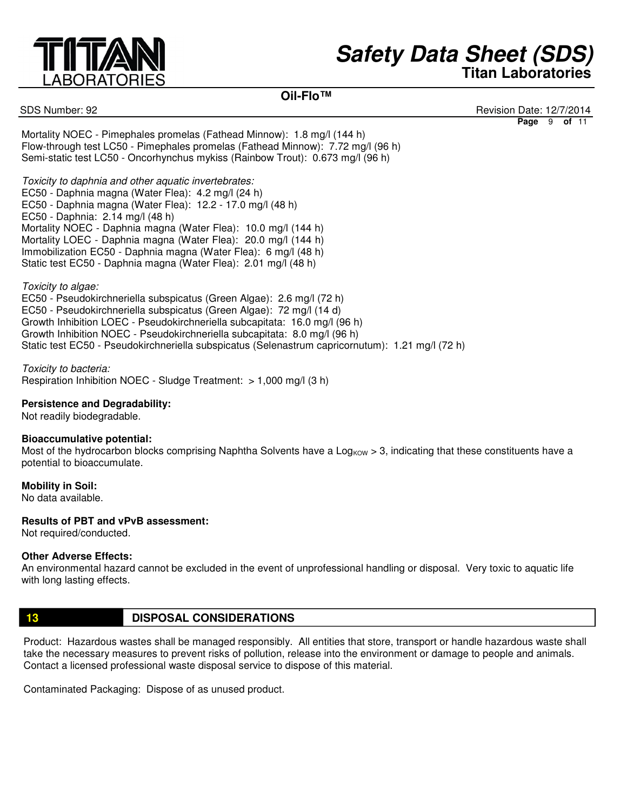

## **Oil-Flo™**

SDS Number: 92 Revision Date: 12/7/2014 **Page** 9 **of** 11

Mortality NOEC - Pimephales promelas (Fathead Minnow): 1.8 mg/l (144 h) Flow-through test LC50 - Pimephales promelas (Fathead Minnow): 7.72 mg/l (96 h) Semi-static test LC50 - Oncorhynchus mykiss (Rainbow Trout): 0.673 mg/l (96 h)

Toxicity to daphnia and other aquatic invertebrates: EC50 - Daphnia magna (Water Flea): 4.2 mg/l (24 h) EC50 - Daphnia magna (Water Flea): 12.2 - 17.0 mg/l (48 h) EC50 - Daphnia: 2.14 mg/l (48 h) Mortality NOEC - Daphnia magna (Water Flea): 10.0 mg/l (144 h) Mortality LOEC - Daphnia magna (Water Flea): 20.0 mg/l (144 h) Immobilization EC50 - Daphnia magna (Water Flea): 6 mg/l (48 h) Static test EC50 - Daphnia magna (Water Flea): 2.01 mg/l (48 h)

Toxicity to algae:

EC50 - Pseudokirchneriella subspicatus (Green Algae): 2.6 mg/l (72 h) EC50 - Pseudokirchneriella subspicatus (Green Algae): 72 mg/l (14 d) Growth Inhibition LOEC - Pseudokirchneriella subcapitata: 16.0 mg/l (96 h) Growth Inhibition NOEC - Pseudokirchneriella subcapitata: 8.0 mg/l (96 h) Static test EC50 - Pseudokirchneriella subspicatus (Selenastrum capricornutum): 1.21 mg/l (72 h)

Toxicity to bacteria: Respiration Inhibition NOEC - Sludge Treatment: > 1,000 mg/l (3 h)

#### **Persistence and Degradability:**

Not readily biodegradable.

#### **Bioaccumulative potential:**

Most of the hydrocarbon blocks comprising Naphtha Solvents have a Log<sub>KOW</sub> > 3, indicating that these constituents have a potential to bioaccumulate.

**Mobility in Soil:**

No data available.

#### **Results of PBT and vPvB assessment:**

Not required/conducted.

#### **Other Adverse Effects:**

An environmental hazard cannot be excluded in the event of unprofessional handling or disposal. Very toxic to aquatic life with long lasting effects.

## **13 DISPOSAL CONSIDERATIONS**

Product: Hazardous wastes shall be managed responsibly. All entities that store, transport or handle hazardous waste shall take the necessary measures to prevent risks of pollution, release into the environment or damage to people and animals. Contact a licensed professional waste disposal service to dispose of this material.

Contaminated Packaging: Dispose of as unused product.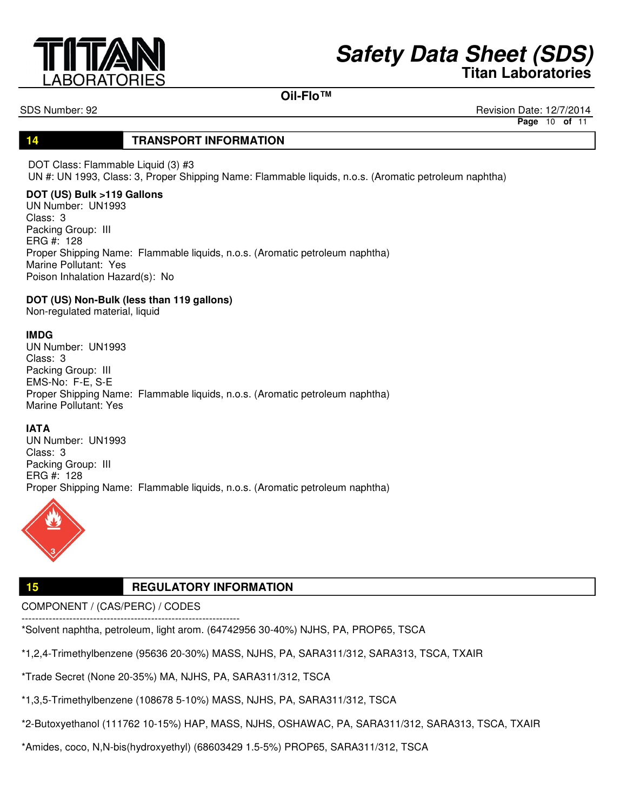

#### **Oil-Flo™**

SDS Number: 92 Revision Date: 12/7/2014

**Page** 10 **of** 11

## **14 TRANSPORT INFORMATION**

DOT Class: Flammable Liquid (3) #3 UN #: UN 1993, Class: 3, Proper Shipping Name: Flammable liquids, n.o.s. (Aromatic petroleum naphtha)

#### **DOT (US) Bulk >119 Gallons**

UN Number: UN1993 Class: 3 Packing Group: III ERG #: 128 Proper Shipping Name: Flammable liquids, n.o.s. (Aromatic petroleum naphtha) Marine Pollutant: Yes Poison Inhalation Hazard(s): No

**DOT (US) Non-Bulk (less than 119 gallons)**

Non-regulated material, liquid

#### **IMDG**

UN Number: UN1993 Class: 3 Packing Group: III EMS-No: F-E, S-E Proper Shipping Name: Flammable liquids, n.o.s. (Aromatic petroleum naphtha) Marine Pollutant: Yes

#### **IATA**

UN Number: UN1993 Class: 3 Packing Group: III ERG #: 128 Proper Shipping Name: Flammable liquids, n.o.s. (Aromatic petroleum naphtha)



## **15 REGULATORY INFORMATION**

COMPONENT / (CAS/PERC) / CODES

---------------------------------------------------------------- \*Solvent naphtha, petroleum, light arom. (64742956 30-40%) NJHS, PA, PROP65, TSCA

\*1,2,4-Trimethylbenzene (95636 20-30%) MASS, NJHS, PA, SARA311/312, SARA313, TSCA, TXAIR

\*Trade Secret (None 20-35%) MA, NJHS, PA, SARA311/312, TSCA

\*1,3,5-Trimethylbenzene (108678 5-10%) MASS, NJHS, PA, SARA311/312, TSCA

\*2-Butoxyethanol (111762 10-15%) HAP, MASS, NJHS, OSHAWAC, PA, SARA311/312, SARA313, TSCA, TXAIR

\*Amides, coco, N,N-bis(hydroxyethyl) (68603429 1.5-5%) PROP65, SARA311/312, TSCA